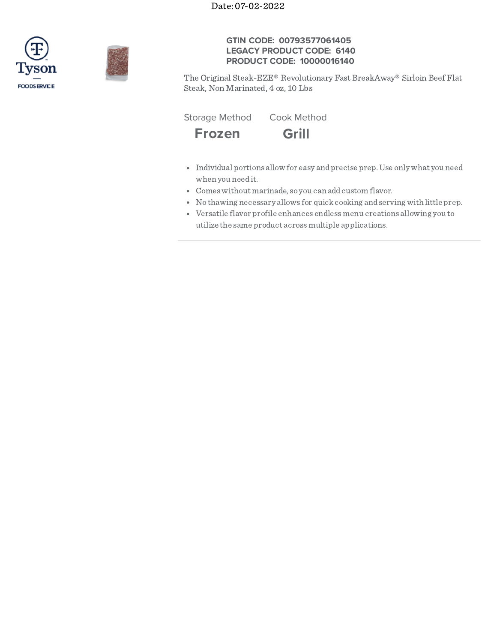Date: 07-02-2022





# **GTIN CODE: 00793577061405 LEGACY PRODUCT CODE: 6140 PRODUCT CODE: 10000016140**

The Original Steak-EZE® Revolutionary Fast BreakAway® Sirloin Beef Flat Steak, Non Marinated, 4 oz, 10 Lbs

Storage Method Cook Method



- Individual portions allow for easy andprecise prep.Use only what you need when you needit.
- Comeswithout marinade, so you can addcustom flavor.
- No thawing necessary allows for quickcooking andserving with little prep.
- Versatile flavor profile enhances endlessmenu creations allowing you to utilize the same product acrossmultiple applications.